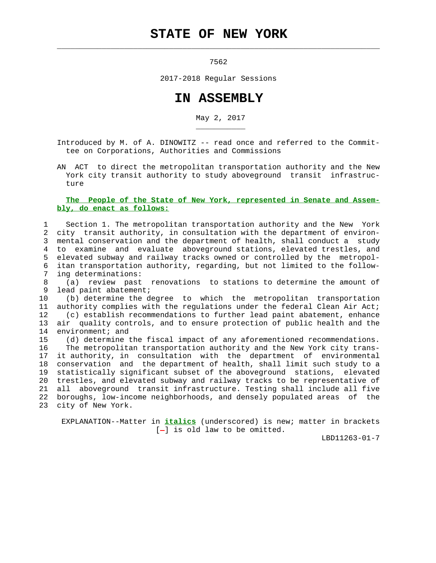## **STATE OF NEW YORK**

 $\mathcal{L}_\text{max} = \frac{1}{2} \sum_{i=1}^{n} \frac{1}{2} \sum_{i=1}^{n} \frac{1}{2} \sum_{i=1}^{n} \frac{1}{2} \sum_{i=1}^{n} \frac{1}{2} \sum_{i=1}^{n} \frac{1}{2} \sum_{i=1}^{n} \frac{1}{2} \sum_{i=1}^{n} \frac{1}{2} \sum_{i=1}^{n} \frac{1}{2} \sum_{i=1}^{n} \frac{1}{2} \sum_{i=1}^{n} \frac{1}{2} \sum_{i=1}^{n} \frac{1}{2} \sum_{i=1}^{n} \frac{1$ 

\_\_\_\_\_\_\_\_\_\_\_

7562

2017-2018 Regular Sessions

## **IN ASSEMBLY**

May 2, 2017

 Introduced by M. of A. DINOWITZ -- read once and referred to the Commit tee on Corporations, Authorities and Commissions

 AN ACT to direct the metropolitan transportation authority and the New York city transit authority to study aboveground transit infrastruc ture

## **The People of the State of New York, represented in Senate and Assem bly, do enact as follows:**

 1 Section 1. The metropolitan transportation authority and the New York 2 city transit authority, in consultation with the department of environ- 3 mental conservation and the department of health, shall conduct a study 4 to examine and evaluate aboveground stations, elevated trestles, and 5 elevated subway and railway tracks owned or controlled by the metropol- 6 itan transportation authority, regarding, but not limited to the follow ing determinations:

 8 (a) review past renovations to stations to determine the amount of 9 lead paint abatement;

 10 (b) determine the degree to which the metropolitan transportation 11 authority complies with the regulations under the federal Clean Air Act; 12 (c) establish recommendations to further lead paint abatement, enhance 13 air quality controls, and to ensure protection of public health and the 14 environment; and

 15 (d) determine the fiscal impact of any aforementioned recommendations. 16 The metropolitan transportation authority and the New York city trans- 17 it authority, in consultation with the department of environmental 18 conservation and the department of health, shall limit such study to a 19 statistically significant subset of the aboveground stations, elevated 20 trestles, and elevated subway and railway tracks to be representative of 21 all aboveground transit infrastructure. Testing shall include all five 22 boroughs, low-income neighborhoods, and densely populated areas of the 23 city of New York.

 EXPLANATION--Matter in **italics** (underscored) is new; matter in brackets  $[-]$  is old law to be omitted.

LBD11263-01-7